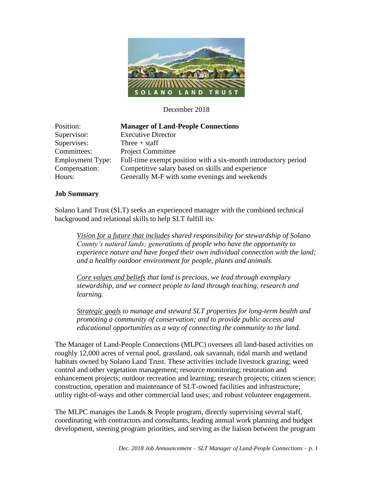

December 2018

| Position:               | <b>Manager of Land-People Connections</b>                      |
|-------------------------|----------------------------------------------------------------|
| Supervisor:             | <b>Executive Director</b>                                      |
| Supervises:             | Three $+$ staff                                                |
| Committees:             | <b>Project Committee</b>                                       |
| <b>Employment Type:</b> | Full-time exempt position with a six-month introductory period |
| Compensation:           | Competitive salary based on skills and experience              |
| Hours:                  | Generally M-F with some evenings and weekends                  |

#### **Job Summary**

Solano Land Trust (SLT) seeks an experienced manager with the combined technical background and relational skills to help SLT fulfill its:

*Vision for a future that includes shared responsibility for stewardship of Solano County's natural lands; generations of people who have the opportunity to experience nature and have forged their own individual connection with the land; and a healthy outdoor environment for people, plants and animals.*

*Core values and beliefs that land is precious, we lead through exemplary stewardship, and we connect people to land through teaching, research and learning.*

*Strategic goals to manage and steward SLT properties for long-term health and promoting a community of conservation; and to provide public access and educational opportunities as a way of connecting the community to the land.*

The Manager of Land-People Connections (MLPC) oversees all land-based activities on roughly 12,000 acres of vernal pool, grassland, oak savannah, tidal marsh and wetland habitats owned by Solano Land Trust. These activities include livestock grazing; weed control and other vegetation management; resource monitoring; restoration and enhancement projects; outdoor recreation and learning; research projects; citizen science; construction, operation and maintenance of SLT-owned facilities and infrastructure; utility right-of-ways and other commercial land uses; and robust volunteer engagement.

The MLPC manages the Lands & People program, directly supervising several staff, coordinating with contractors and consultants, leading annual work planning and budget development, steering program priorities, and serving as the liaison between the program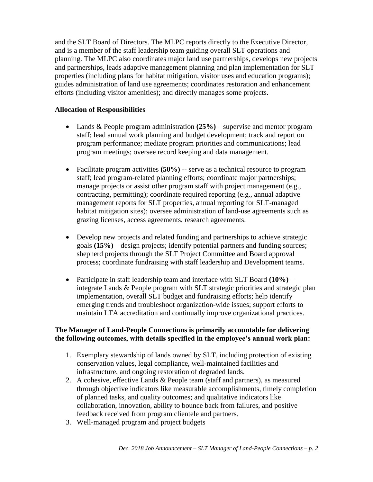and the SLT Board of Directors. The MLPC reports directly to the Executive Director, and is a member of the staff leadership team guiding overall SLT operations and planning. The MLPC also coordinates major land use partnerships, develops new projects and partnerships, leads adaptive management planning and plan implementation for SLT properties (including plans for habitat mitigation, visitor uses and education programs); guides administration of land use agreements; coordinates restoration and enhancement efforts (including visitor amenities); and directly manages some projects.

### **Allocation of Responsibilities**

- Lands & People program administration **(25%)** supervise and mentor program staff; lead annual work planning and budget development; track and report on program performance; mediate program priorities and communications; lead program meetings; oversee record keeping and data management.
- Facilitate program activities (50%) -- serve as a technical resource to program staff; lead program-related planning efforts; coordinate major partnerships; manage projects or assist other program staff with project management (e.g., contracting, permitting); coordinate required reporting (e.g., annual adaptive management reports for SLT properties, annual reporting for SLT-managed habitat mitigation sites); oversee administration of land-use agreements such as grazing licenses, access agreements, research agreements.
- Develop new projects and related funding and partnerships to achieve strategic goals **(15%)** – design projects; identify potential partners and funding sources; shepherd projects through the SLT Project Committee and Board approval process; coordinate fundraising with staff leadership and Development teams.
- Participate in staff leadership team and interface with SLT Board **(10%)** integrate Lands & People program with SLT strategic priorities and strategic plan implementation, overall SLT budget and fundraising efforts; help identify emerging trends and troubleshoot organization-wide issues; support efforts to maintain LTA accreditation and continually improve organizational practices.

### **The Manager of Land-People Connections is primarily accountable for delivering the following outcomes, with details specified in the employee's annual work plan:**

- 1. Exemplary stewardship of lands owned by SLT, including protection of existing conservation values, legal compliance, well-maintained facilities and infrastructure, and ongoing restoration of degraded lands.
- 2. A cohesive, effective Lands & People team (staff and partners), as measured through objective indicators like measurable accomplishments, timely completion of planned tasks, and quality outcomes; and qualitative indicators like collaboration, innovation, ability to bounce back from failures, and positive feedback received from program clientele and partners.
- 3. Well-managed program and project budgets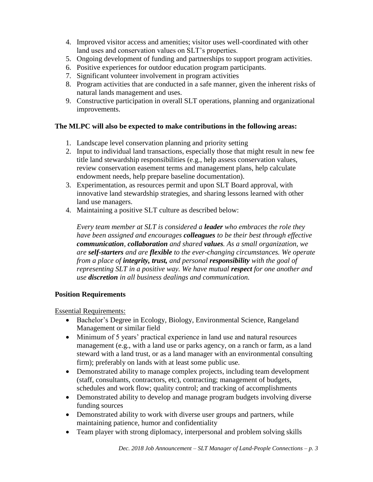- 4. Improved visitor access and amenities; visitor uses well-coordinated with other land uses and conservation values on SLT's properties.
- 5. Ongoing development of funding and partnerships to support program activities.
- 6. Positive experiences for outdoor education program participants.
- 7. Significant volunteer involvement in program activities
- 8. Program activities that are conducted in a safe manner, given the inherent risks of natural lands management and uses.
- 9. Constructive participation in overall SLT operations, planning and organizational improvements.

## **The MLPC will also be expected to make contributions in the following areas:**

- 1. Landscape level conservation planning and priority setting
- 2. Input to individual land transactions, especially those that might result in new fee title land stewardship responsibilities (e.g., help assess conservation values, review conservation easement terms and management plans, help calculate endowment needs, help prepare baseline documentation).
- 3. Experimentation, as resources permit and upon SLT Board approval, with innovative land stewardship strategies, and sharing lessons learned with other land use managers.
- 4. Maintaining a positive SLT culture as described below:

*Every team member at SLT is considered a leader who embraces the role they have been assigned and encourages colleagues to be their best through effective communication, collaboration and shared values. As a small organization, we are self-starters and are flexible to the ever-changing circumstances. We operate from a place of integrity, trust, and personal responsibility with the goal of representing SLT in a positive way. We have mutual respect for one another and use discretion in all business dealings and communication.*

### **Position Requirements**

Essential Requirements:

- Bachelor's Degree in Ecology, Biology, Environmental Science, Rangeland Management or similar field
- Minimum of 5 years' practical experience in land use and natural resources management (e.g., with a land use or parks agency, on a ranch or farm, as a land steward with a land trust, or as a land manager with an environmental consulting firm); preferably on lands with at least some public use.
- Demonstrated ability to manage complex projects, including team development (staff, consultants, contractors, etc), contracting; management of budgets, schedules and work flow; quality control; and tracking of accomplishments
- Demonstrated ability to develop and manage program budgets involving diverse funding sources
- Demonstrated ability to work with diverse user groups and partners, while maintaining patience, humor and confidentiality
- Team player with strong diplomacy, interpersonal and problem solving skills